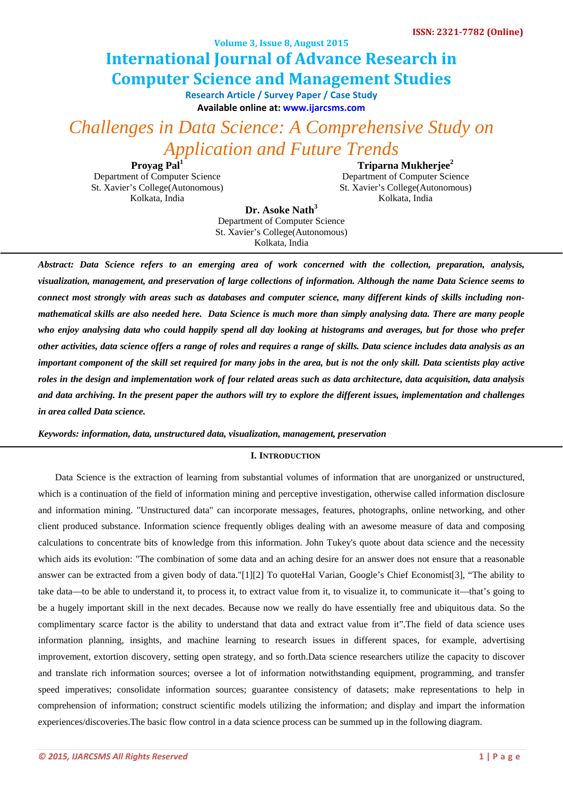**Volume 3, Issue 8, August 2015**

# **Computer Science and Management Studies International Journal of Advance Research in**

**Research Article / Survey Paper / Case St[ud](http://www.ijarcsms.com/)y Available online at: [www.ijarcsms.com](http://www.ijarcsms.com/)**

*Challenges in Data Science: A Comprehensive Study on Application and Future Trends* 

Proyag Pal<sup>1</sup> Department of Computer Science St. Xavier's College(Autonomous) Kolkata, India

**Triparna Mukherjee2** Department of Computer Science St. Xavier's College(Autonomous) Kolkata, India

**Dr. Asoke Nath<sup>3</sup>** Department of Computer Science St. Xavier's College(Autonomous) Kolkata, India

*Abstract: Data Science refers to an emerging area of work concerned with the collection, preparation, analysis, visualization, management, and preservation of large collections of information. Although the name Data Science seems to connect most strongly with areas such as databases and computer science, many different kinds of skills including nonmathematical skills are also needed here. Data Science is much more than simply analysing data. There are many people who enjoy analysing data who could happily spend all day looking at histograms and averages, but for those who prefer other activities, data science offers a range of roles and requires a range of skills. Data science includes data analysis as an important component of the skill set required for many jobs in the area, but is not the only skill. Data scientists play active roles in the design and implementation work of four related areas such as data architecture, data acquisition, data analysis and data archiving. In the present paper the authors will try to explore the different issues, implementation and challenges in area called Data science.* 

*Keywords: information, data, unstructured data, visualization, management, preservation* 

#### **I. INTRODUCTION**

Data Science is the extraction of learning from substantial volumes of information that are unorganized or unstructured, which is a continuation of the field of information mining and perceptive investigation, otherwise called information disclosure and information mining. "Unstructured data" can incorporate messages, features, photographs, online networking, and other client produced substance. Information science frequently obliges dealing with an awesome measure of data and composing calculations to concentrate bits of knowledge from this information. John Tukey's quote about data science and the necessity which aids its evolution: "The combination of some data and an aching desire for an answer does not ensure that a reasonable answer can be extracted from a given body of data."[1][2] To quoteHal Varian, Google's Chief Economist[3], "The ability to take data—to be able to understand it, to process it, to extract value from it, to visualize it, to communicate it—that's going to be a hugely important skill in the next decades. Because now we really do have essentially free and ubiquitous data. So the complimentary scarce factor is the ability to understand that data and extract value from it".The field of data science uses information planning, insights, and machine learning to research issues in different spaces, for example, advertising improvement, extortion discovery, setting open strategy, and so forth.Data science researchers utilize the capacity to discover and translate rich information sources; oversee a lot of information notwithstanding equipment, programming, and transfer speed imperatives; consolidate information sources; guarantee consistency of datasets; make representations to help in comprehension of information; construct scientific models utilizing the information; and display and impart the information experiences/discoveries.The basic flow control in a data science process can be summed up in the following diagram.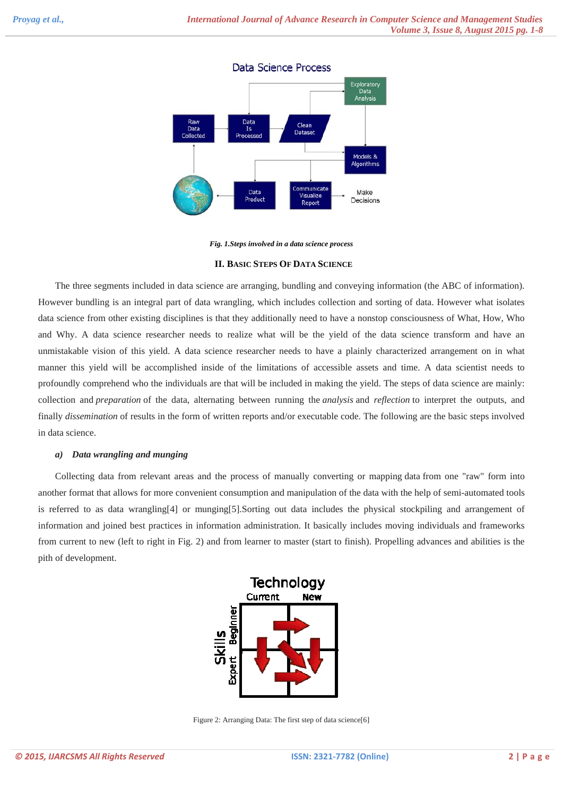# Data Science Process



*Fig. 1.Steps involved in a data science process* 

**II. BASIC STEPS OF DATA SCIENCE**

The three segments included in data science are arranging, bundling and conveying information (the ABC of information). However bundling is an integral part of data wrangling, which includes collection and sorting of data. However what isolates data science from other existing disciplines is that they additionally need to have a nonstop consciousness of What, How, Who and Why. A data science researcher needs to realize what will be the yield of the data science transform and have an unmistakable vision of this yield. A data science researcher needs to have a plainly characterized arrangement on in what manner this yield will be accomplished inside of the limitations of accessible assets and time. A data scientist needs to profoundly comprehend who the individuals are that will be included in making the yield. The steps of data science are mainly: collection and *preparation* of the data, alternating between running the *analysis* and *reflection* to interpret the outputs, and finally *dissemination* of results in the form of written reports and/or executable code. The following are the basic steps involved in data science.

#### *a) Data wrangling and munging*

Collecting data from relevant areas and the process of manually converting or mapping data from one "raw" form into another format that allows for more convenient consumption and manipulation of the data with the help of semi-automated tools is referred to as data wrangling[4] or munging[5].Sorting out data includes the physical stockpiling and arrangement of information and joined best practices in information administration. It basically includes moving individuals and frameworks from current to new (left to right in Fig. 2) and from learner to master (start to finish). Propelling advances and abilities is the pith of development.



Figure 2: Arranging Data: The first step of data science[6]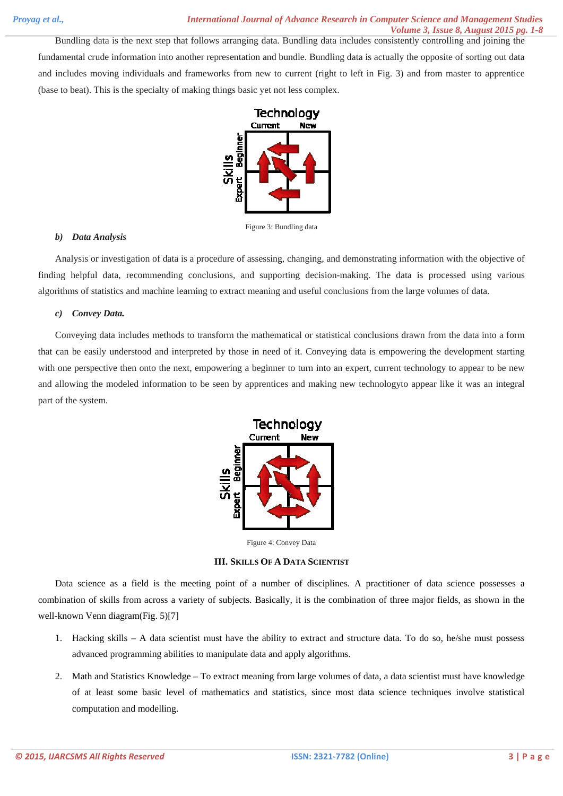Bundling data is the next step that follows arranging data. Bundling data includes consistently controlling and joining the fundamental crude information into another representation and bundle. Bundling data is actually the opposite of sorting out data and includes moving individuals and frameworks from new to current (right to left in Fig. 3) and from master to apprentice (base to beat). This is the specialty of making things basic yet not less complex.



Figure 3: Bundling data

## *b) Data Analysis*

Analysis or investigation of data is a procedure of assessing, changing, and demonstrating information with the objective of finding helpful data, recommending conclusions, and supporting decision-making. The data is processed using various algorithms of statistics and machine learning to extract meaning and useful conclusions from the large volumes of data.

## *c) Convey Data.*

Conveying data includes methods to transform the mathematical or statistical conclusions drawn from the data into a form that can be easily understood and interpreted by those in need of it. Conveying data is empowering the development starting with one perspective then onto the next, empowering a beginner to turn into an expert, current technology to appear to be new and allowing the modeled information to be seen by apprentices and making new technologyto appear like it was an integral part of the system.



Figure 4: Convey Data

#### **III. SKILLS OF A DATA SCIENTIST**

Data science as a field is the meeting point of a number of disciplines. A practitioner of data science possesses a combination of skills from across a variety of subjects. Basically, it is the combination of three major fields, as shown in the well-known Venn diagram(Fig. 5)[7]

- 1. Hacking skills A data scientist must have the ability to extract and structure data. To do so, he/she must possess advanced programming abilities to manipulate data and apply algorithms.
- 2. Math and Statistics Knowledge To extract meaning from large volumes of data, a data scientist must have knowledge of at least some basic level of mathematics and statistics, since most data science techniques involve statistical computation and modelling.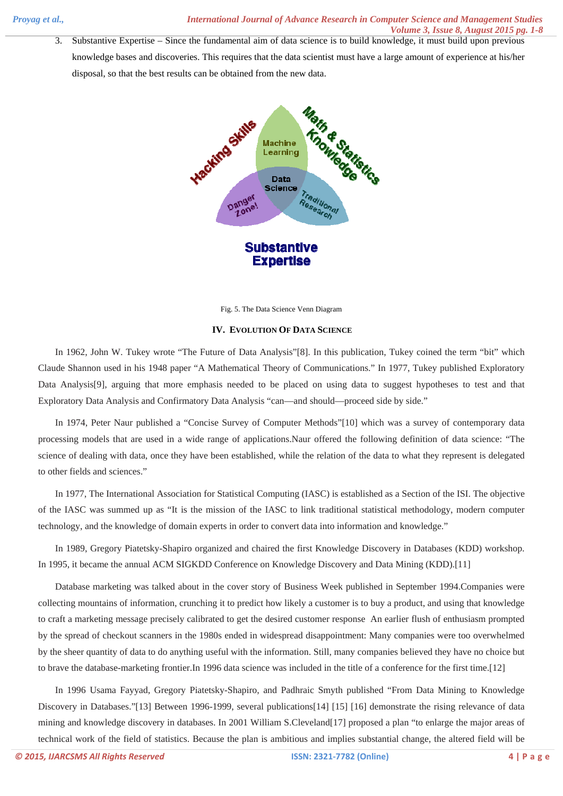3. Substantive Expertise – Since the fundamental aim of data science is to build knowledge, it must build upon previous knowledge bases and discoveries. This requires that the data scientist must have a large amount of experience at his/her disposal, so that the best results can be obtained from the new data.



Fig. 5. The Data Science Venn Diagram

## **IV. EVOLUTION OF DATA SCIENCE**

In 1962, John W. Tukey wrote "The Future of Data Analysis"[8]. In this publication, Tukey coined the term "bit" which Claude Shannon used in his 1948 paper "A Mathematical Theory of Communications." In 1977, Tukey published Exploratory Data Analysis[9], arguing that more emphasis needed to be placed on using data to suggest hypotheses to test and that Exploratory Data Analysis and Confirmatory Data Analysis "can—and should—proceed side by side."

In 1974, Peter Naur published a "Concise Survey of Computer Methods"[10] which was a survey of contemporary data processing models that are used in a wide range of applications.Naur offered the following definition of data science: "The science of dealing with data, once they have been established, while the relation of the data to what they represent is delegated to other fields and sciences."

In 1977, The International Association for Statistical Computing (IASC) is established as a Section of the ISI. The objective of the IASC was summed up as "It is the mission of the IASC to link traditional statistical methodology, modern computer technology, and the knowledge of domain experts in order to convert data into information and knowledge."

In 1989, Gregory Piatetsky-Shapiro organized and chaired the first Knowledge Discovery in Databases (KDD) workshop. In 1995, it became the annual ACM SIGKDD Conference on Knowledge Discovery and Data Mining (KDD).[11]

Database marketing was talked about in the cover story of Business Week published in September 1994.Companies were collecting mountains of information, crunching it to predict how likely a customer is to buy a product, and using that knowledge to craft a marketing message precisely calibrated to get the desired customer response An earlier flush of enthusiasm prompted by the spread of checkout scanners in the 1980s ended in widespread disappointment: Many companies were too overwhelmed by the sheer quantity of data to do anything useful with the information. Still, many companies believed they have no choice but to brave the database-marketing frontier.In 1996 data science was included in the title of a conference for the first time.[12]

In 1996 Usama Fayyad, Gregory Piatetsky-Shapiro, and Padhraic Smyth published "From Data Mining to Knowledge Discovery in Databases."[13] Between 1996-1999, several publications[14] [15] [16] demonstrate the rising relevance of data mining and knowledge discovery in databases. In 2001 William S.Cleveland[17] proposed a plan "to enlarge the major areas of technical work of the field of statistics. Because the plan is ambitious and implies substantial change, the altered field will be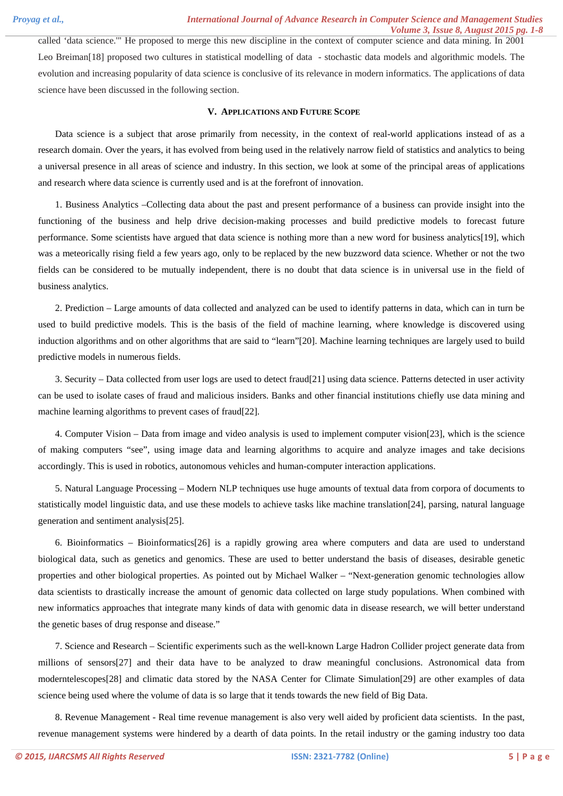called 'data science.'" He proposed to merge this new discipline in the context of computer science and data mining. In 2001 Leo Breiman[18] proposed two cultures in statistical modelling of data - stochastic data models and algorithmic models. The evolution and increasing popularity of data science is conclusive of its relevance in modern informatics. The applications of data science have been discussed in the following section.

#### **V. APPLICATIONS AND FUTURE SCOPE**

Data science is a subject that arose primarily from necessity, in the context of real-world applications instead of as a research domain. Over the years, it has evolved from being used in the relatively narrow field of statistics and analytics to being a universal presence in all areas of science and industry. In this section, we look at some of the principal areas of applications and research where data science is currently used and is at the forefront of innovation.

1. Business Analytics –Collecting data about the past and present performance of a business can provide insight into the functioning of the business and help drive decision-making processes and build predictive models to forecast future performance. Some scientists have argued that data science is nothing more than a new word for business analytics[19], which was a meteorically rising field a few years ago, only to be replaced by the new buzzword data science. Whether or not the two fields can be considered to be mutually independent, there is no doubt that data science is in universal use in the field of business analytics.

2. Prediction – Large amounts of data collected and analyzed can be used to identify patterns in data, which can in turn be used to build predictive models. This is the basis of the field of machine learning, where knowledge is discovered using induction algorithms and on other algorithms that are said to "learn"[20]. Machine learning techniques are largely used to build predictive models in numerous fields.

3. Security – Data collected from user logs are used to detect fraud[21] using data science. Patterns detected in user activity can be used to isolate cases of fraud and malicious insiders. Banks and other financial institutions chiefly use data mining and machine learning algorithms to prevent cases of fraud[22].

4. Computer Vision – Data from image and video analysis is used to implement computer vision[23], which is the science of making computers "see", using image data and learning algorithms to acquire and analyze images and take decisions accordingly. This is used in robotics, autonomous vehicles and human-computer interaction applications.

5. Natural Language Processing – Modern NLP techniques use huge amounts of textual data from corpora of documents to statistically model linguistic data, and use these models to achieve tasks like machine translation[24], parsing, natural language generation and sentiment analysis[25].

6. Bioinformatics – Bioinformatics[26] is a rapidly growing area where computers and data are used to understand biological data, such as genetics and genomics. These are used to better understand the basis of diseases, desirable genetic properties and other biological properties. As pointed out by Michael Walker – "Next-generation genomic technologies allow data scientists to drastically increase the amount of genomic data collected on large study populations. When combined with new informatics approaches that integrate many kinds of data with genomic data in disease research, we will better understand the genetic bases of drug response and disease."

7. Science and Research – Scientific experiments such as the well-known Large Hadron Collider project generate data from millions of sensors[27] and their data have to be analyzed to draw meaningful conclusions. Astronomical data from moderntelescopes[28] and climatic data stored by the NASA Center for Climate Simulation[29] are other examples of data science being used where the volume of data is so large that it tends towards the new field of Big Data.

8. Revenue Management - Real time revenue management is also very well aided by proficient data scientists. In the past, revenue management systems were hindered by a dearth of data points. In the retail industry or the gaming industry too data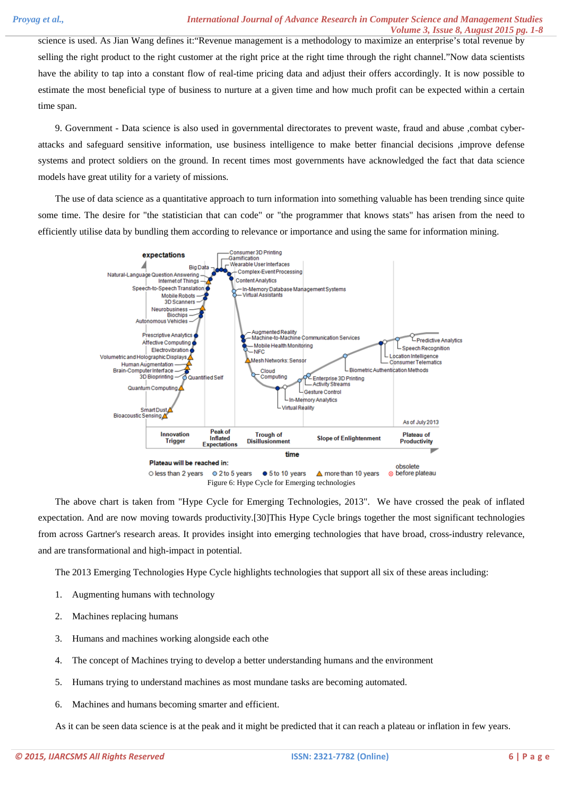science is used. As Jian Wang defines it:"Revenue management is a methodology to maximize an enterprise's total revenue by selling the right product to the right customer at the right price at the right time through the right channel."Now data scientists have the ability to tap into a constant flow of real-time pricing data and adjust their offers accordingly. It is now possible to estimate the most beneficial type of business to nurture at a given time and how much profit can be expected within a certain time span.

9. Government - Data science is also used in governmental directorates to prevent waste, fraud and abuse ,combat cyberattacks and safeguard sensitive information, use business intelligence to make better financial decisions ,improve defense systems and protect soldiers on the ground. In recent times most governments have acknowledged the fact that data science models have great utility for a variety of missions.

The use of data science as a quantitative approach to turn information into something valuable has been trending since quite some time. The desire for "the statistician that can code" or "the programmer that knows stats" has arisen from the need to efficiently utilise data by bundling them according to relevance or importance and using the same for information mining.



The above chart is taken from "Hype Cycle for Emerging Technologies, 2013". We have crossed the peak of inflated expectation. And are now moving towards productivity.[30]This Hype Cycle brings together the most significant technologies from across Gartner's research areas. It provides insight into emerging technologies that have broad, cross-industry relevance, and are transformational and high-impact in potential.

The 2013 Emerging Technologies Hype Cycle highlights technologies that support all six of these areas including:

- 1. Augmenting humans with technology
- 2. Machines replacing humans
- 3. Humans and machines working alongside each othe
- 4. The concept of Machines trying to develop a better understanding humans and the environment
- 5. Humans trying to understand machines as most mundane tasks are becoming automated.
- 6. Machines and humans becoming smarter and efficient.

As it can be seen data science is at the peak and it might be predicted that it can reach a plateau or inflation in few years.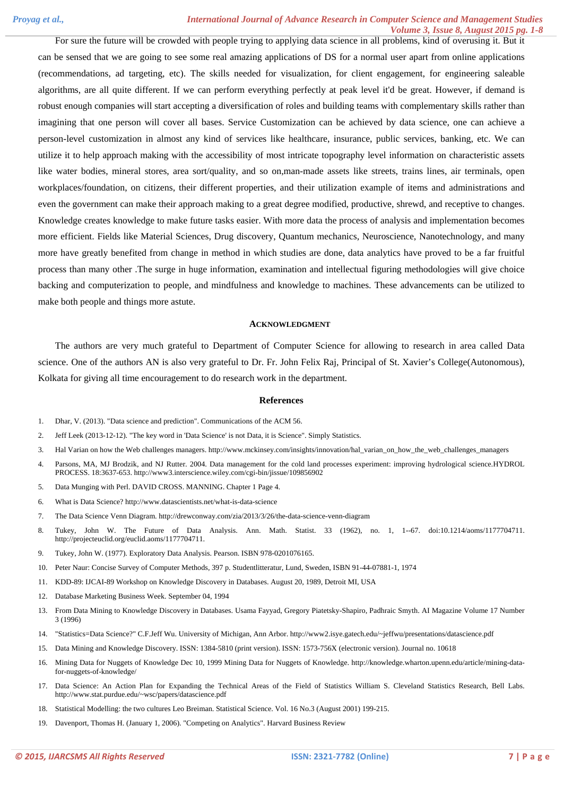For sure the future will be crowded with people trying to applying data science in all problems, kind of overusing it. But it can be sensed that we are going to see some real amazing applications of DS for a normal user apart from online applications (recommendations, ad targeting, etc). The skills needed for visualization, for client engagement, for engineering saleable algorithms, are all quite different. If we can perform everything perfectly at peak level it'd be great. However, if demand is robust enough companies will start accepting a diversification of roles and building teams with complementary skills rather than imagining that one person will cover all bases. Service Customization can be achieved by data science, one can achieve a person-level customization in almost any kind of services like healthcare, insurance, public services, banking, etc. We can utilize it to help approach making with the accessibility of most intricate topography level information on characteristic assets like water bodies, mineral stores, area sort/quality, and so on,man-made assets like streets, trains lines, air terminals, open workplaces/foundation, on citizens, their different properties, and their utilization example of items and administrations and even the government can make their approach making to a great degree modified, productive, shrewd, and receptive to changes. Knowledge creates knowledge to make future tasks easier. With more data the process of analysis and implementation becomes more efficient. Fields like Material Sciences, Drug discovery, Quantum mechanics, Neuroscience, Nanotechnology, and many more have greatly benefited from change in method in which studies are done, data analytics have proved to be a far fruitful process than many other .The surge in huge information, examination and intellectual figuring methodologies will give choice backing and computerization to people, and mindfulness and knowledge to machines. These advancements can be utilized to make both people and things more astute.

#### **ACKNOWLEDGMENT**

The authors are very much grateful to Department of Computer Science for allowing to research in area called Data science. One of the authors AN is also very grateful to Dr. Fr. John Felix Raj, Principal of St. Xavier's College(Autonomous), Kolkata for giving all time encouragement to do research work in the department.

#### **References**

- 1. Dhar, V. (2013). "Data science and prediction". Communications of the ACM 56.
- 2. Jeff Leek (2013-12-12). "The key word in 'Data Science' is not Data, it is Science". Simply Statistics.
- 3. Hal Varian on how the Web challenges managers. http://www.mckinsey.com/insights/innovation/hal\_varian\_on\_how\_the\_web\_challenges\_managers
- 4. Parsons, MA, MJ Brodzik, and NJ Rutter. 2004. Data management for the cold land processes experiment: improving hydrological science.HYDROL PROCESS. 18:3637-653. http://www3.interscience.wiley.com/cgi-bin/jissue/109856902
- 5. Data Munging with Perl. DAVID CROSS. MANNING. Chapter 1 Page 4.
- 6. What is Data Science? http://www.datascientists.net/what-is-data-science
- 7. The Data Science Venn Diagram. http://drewconway.com/zia/2013/3/26/the-data-science-venn-diagram
- 8. Tukey, John W. The Future of Data Analysis. Ann. Math. Statist. 33 (1962), no. 1, 1--67. doi:10.1214/aoms/1177704711. http://projecteuclid.org/euclid.aoms/1177704711.
- 9. Tukey, John W. (1977). Exploratory Data Analysis. Pearson. ISBN 978-0201076165.
- 10. Peter Naur: Concise Survey of Computer Methods, 397 p. Studentlitteratur, Lund, Sweden, ISBN 91-44-07881-1, 1974
- 11. KDD-89: IJCAI-89 Workshop on Knowledge Discovery in Databases. August 20, 1989, Detroit MI, USA
- 12. Database Marketing Business Week. September 04, 1994
- 13. From Data Mining to Knowledge Discovery in Databases. Usama Fayyad, Gregory Piatetsky-Shapiro, Padhraic Smyth. AI Magazine Volume 17 Number 3 (1996)
- 14. "Statistics=Data Science?" C.F.Jeff Wu. University of Michigan, Ann Arbor. http://www2.isye.gatech.edu/~jeffwu/presentations/datascience.pdf
- 15. Data Mining and Knowledge Discovery. ISSN: 1384-5810 (print version). ISSN: 1573-756X (electronic version). Journal no. 10618
- 16. Mining Data for Nuggets of Knowledge Dec 10, 1999 Mining Data for Nuggets of Knowledge. http://knowledge.wharton.upenn.edu/article/mining-datafor-nuggets-of-knowledge/
- 17. Data Science: An Action Plan for Expanding the Technical Areas of the Field of Statistics William S. Cleveland Statistics Research, Bell Labs. http://www.stat.purdue.edu/~wsc/papers/datascience.pdf
- 18. Statistical Modelling: the two cultures Leo Breiman. Statistical Science. Vol. 16 No.3 (August 2001) 199-215.
- 19. Davenport, Thomas H. (January 1, 2006). "Competing on Analytics". Harvard Business Review